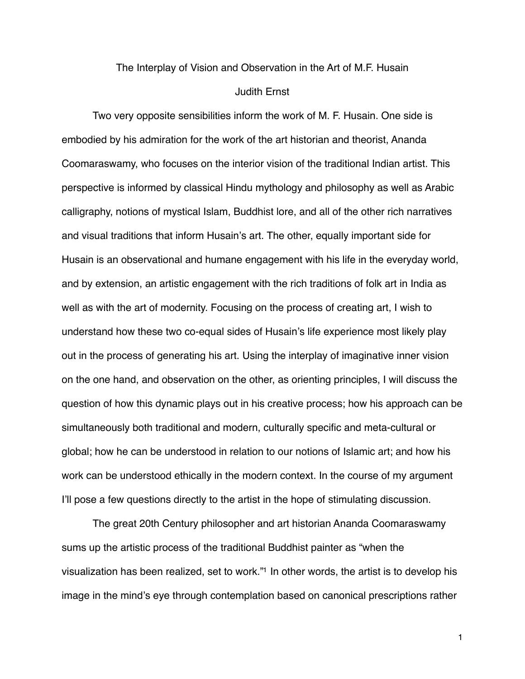## The Interplay of Vision and Observation in the Art of M.F. Husain Judith Ernst

Two very opposite sensibilities inform the work of M. F. Husain. One side is embodied by his admiration for the work of the art historian and theorist, Ananda Coomaraswamy, who focuses on the interior vision of the traditional Indian artist. This perspective is informed by classical Hindu mythology and philosophy as well as Arabic calligraphy, notions of mystical Islam, Buddhist lore, and all of the other rich narratives and visual traditions that inform Husain's art. The other, equally important side for Husain is an observational and humane engagement with his life in the everyday world, and by extension, an artistic engagement with the rich traditions of folk art in India as well as with the art of modernity. Focusing on the process of creating art, I wish to understand how these two co-equal sides of Husain's life experience most likely play out in the process of generating his art. Using the interplay of imaginative inner vision on the one hand, and observation on the other, as orienting principles, I will discuss the question of how this dynamic plays out in his creative process; how his approach can be simultaneously both traditional and modern, culturally specific and meta-cultural or global; how he can be understood in relation to our notions of Islamic art; and how his work can be understood ethically in the modern context. In the course of my argument I'll pose a few questions directly to the artist in the hope of stimulating discussion.

The great 20th Century philosopher and art historian Ananda Coomaraswamy sums up the artistic process of the traditional Buddhist painter as "when the visualization has been realized, set to work.["1](#page-8-0) In other words, the artist is to develop his image in the mind's eye through contemplation based on canonical prescriptions rather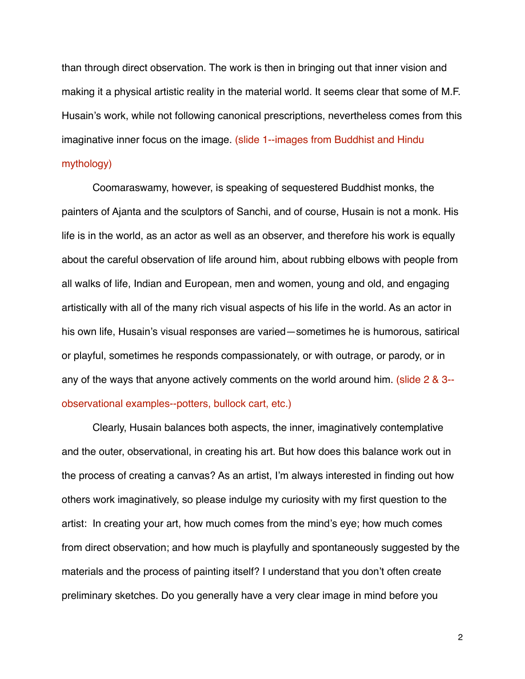than through direct observation. The work is then in bringing out that inner vision and making it a physical artistic reality in the material world. It seems clear that some of M.F. Husain's work, while not following canonical prescriptions, nevertheless comes from this imaginative inner focus on the image. (slide 1--images from Buddhist and Hindu mythology)

Coomaraswamy, however, is speaking of sequestered Buddhist monks, the painters of Ajanta and the sculptors of Sanchi, and of course, Husain is not a monk. His life is in the world, as an actor as well as an observer, and therefore his work is equally about the careful observation of life around him, about rubbing elbows with people from all walks of life, Indian and European, men and women, young and old, and engaging artistically with all of the many rich visual aspects of his life in the world. As an actor in his own life, Husain's visual responses are varied—sometimes he is humorous, satirical or playful, sometimes he responds compassionately, or with outrage, or parody, or in any of the ways that anyone actively comments on the world around him. (slide 2 & 3- observational examples--potters, bullock cart, etc.)

Clearly, Husain balances both aspects, the inner, imaginatively contemplative and the outer, observational, in creating his art. But how does this balance work out in the process of creating a canvas? As an artist, I'm always interested in finding out how others work imaginatively, so please indulge my curiosity with my first question to the artist: In creating your art, how much comes from the mind's eye; how much comes from direct observation; and how much is playfully and spontaneously suggested by the materials and the process of painting itself? I understand that you don't often create preliminary sketches. Do you generally have a very clear image in mind before you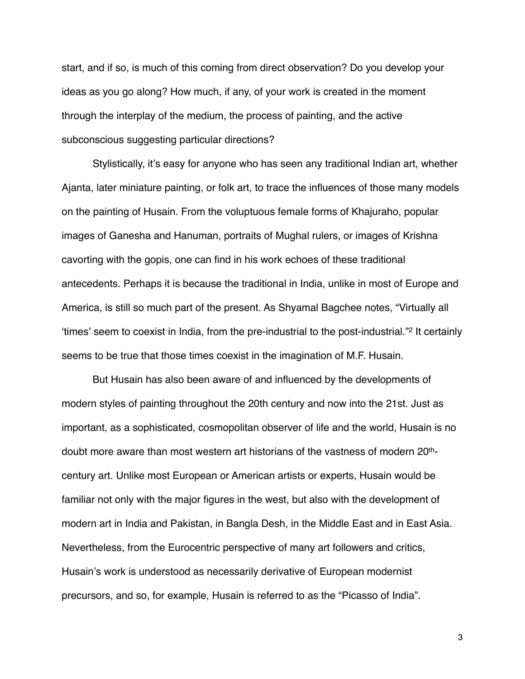start, and if so, is much of this coming from direct observation? Do you develop your ideas as you go along? How much, if any, of your work is created in the moment through the interplay of the medium, the process of painting, and the active subconscious suggesting particular directions?

Stylistically, it's easy for anyone who has seen any traditional Indian art, whether Ajanta, later miniature painting, or folk art, to trace the influences of those many models on the painting of Husain. From the voluptuous female forms of Khajuraho, popular images of Ganesha and Hanuman, portraits of Mughal rulers, or images of Krishna cavorting with the gopis, one can find in his work echoes of these traditional antecedents. Perhaps it is because the traditional in India, unlike in most of Europe and America, is still so much part of the present. As Shyamal Bagchee notes, "Virtually all ʻtimes' seem to coexist in India, from the pre-industrial to the post-industrial."[2](#page-8-1) It certainly seems to be true that those times coexist in the imagination of M.F. Husain.

But Husain has also been aware of and influenced by the developments of modern styles of painting throughout the 20th century and now into the 21st. Just as important, as a sophisticated, cosmopolitan observer of life and the world, Husain is no doubt more aware than most western art historians of the vastness of modern 20thcentury art. Unlike most European or American artists or experts, Husain would be familiar not only with the major figures in the west, but also with the development of modern art in India and Pakistan, in Bangla Desh, in the Middle East and in East Asia. Nevertheless, from the Eurocentric perspective of many art followers and critics, Husain's work is understood as necessarily derivative of European modernist precursors, and so, for example, Husain is referred to as the "Picasso of India".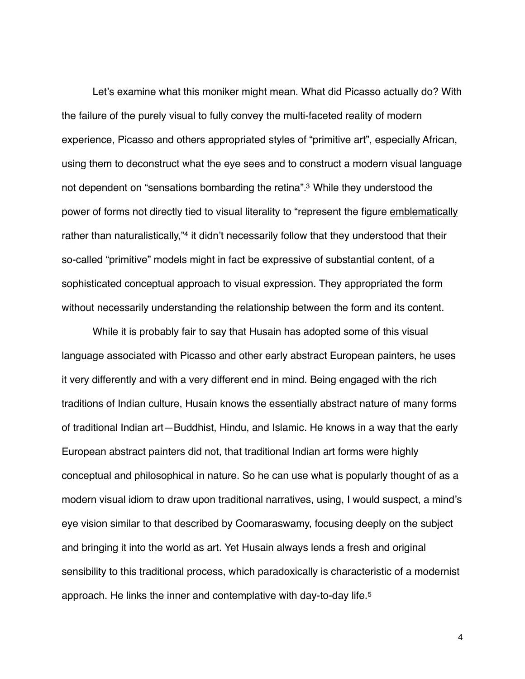Let's examine what this moniker might mean. What did Picasso actually do? With the failure of the purely visual to fully convey the multi-faceted reality of modern experience, Picasso and others appropriated styles of "primitive art", especially African, using them to deconstruct what the eye sees and to construct a modern visual language not dependent on "sensations bombarding the retina"[.3](#page-8-2) While they understood the power of forms not directly tied to visual literality to "represent the figure emblematically rather than naturalistically,["4](#page-8-3) it didn't necessarily follow that they understood that their so-called "primitive" models might in fact be expressive of substantial content, of a sophisticated conceptual approach to visual expression. They appropriated the form without necessarily understanding the relationship between the form and its content.

While it is probably fair to say that Husain has adopted some of this visual language associated with Picasso and other early abstract European painters, he uses it very differently and with a very different end in mind. Being engaged with the rich traditions of Indian culture, Husain knows the essentially abstract nature of many forms of traditional Indian art—Buddhist, Hindu, and Islamic. He knows in a way that the early European abstract painters did not, that traditional Indian art forms were highly conceptual and philosophical in nature. So he can use what is popularly thought of as a modern visual idiom to draw upon traditional narratives, using, I would suspect, a mind's eye vision similar to that described by Coomaraswamy, focusing deeply on the subject and bringing it into the world as art. Yet Husain always lends a fresh and original sensibility to this traditional process, which paradoxically is characteristic of a modernist approach. He links the inner and contemplative with day-to-day life.[5](#page-8-4)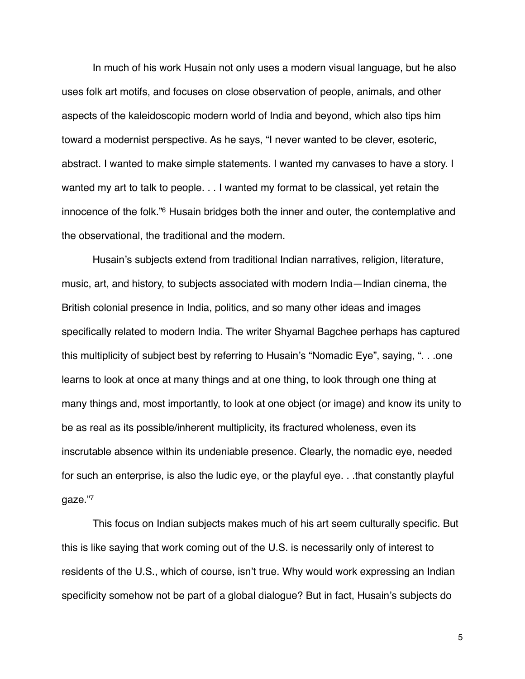In much of his work Husain not only uses a modern visual language, but he also uses folk art motifs, and focuses on close observation of people, animals, and other aspects of the kaleidoscopic modern world of India and beyond, which also tips him toward a modernist perspective. As he says, "I never wanted to be clever, esoteric, abstract. I wanted to make simple statements. I wanted my canvases to have a story. I wanted my art to talk to people. . . I wanted my format to be classical, yet retain the innocence of the folk.["6](#page-8-5) Husain bridges both the inner and outer, the contemplative and the observational, the traditional and the modern.

Husain's subjects extend from traditional Indian narratives, religion, literature, music, art, and history, to subjects associated with modern India—Indian cinema, the British colonial presence in India, politics, and so many other ideas and images specifically related to modern India. The writer Shyamal Bagchee perhaps has captured this multiplicity of subject best by referring to Husain's "Nomadic Eye", saying, ". . .one learns to look at once at many things and at one thing, to look through one thing at many things and, most importantly, to look at one object (or image) and know its unity to be as real as its possible/inherent multiplicity, its fractured wholeness, even its inscrutable absence within its undeniable presence. Clearly, the nomadic eye, needed for such an enterprise, is also the ludic eye, or the playful eye. . .that constantly playful gaze.["7](#page-8-6)

This focus on Indian subjects makes much of his art seem culturally specific. But this is like saying that work coming out of the U.S. is necessarily only of interest to residents of the U.S., which of course, isn't true. Why would work expressing an Indian specificity somehow not be part of a global dialogue? But in fact, Husain's subjects do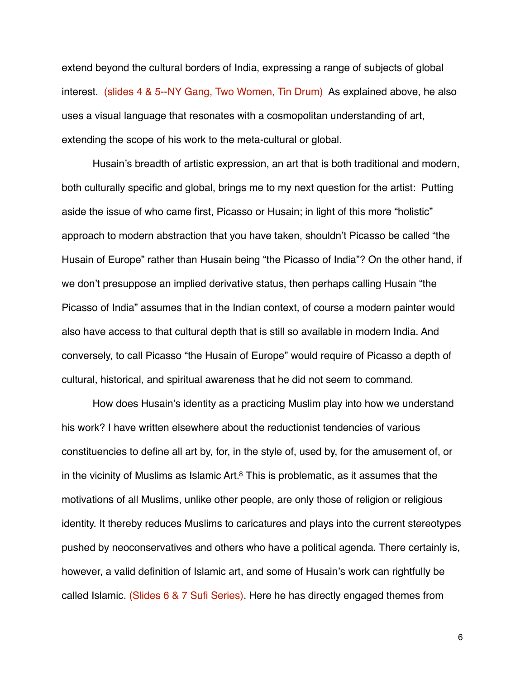extend beyond the cultural borders of India, expressing a range of subjects of global interest. (slides 4 & 5--NY Gang, Two Women, Tin Drum) As explained above, he also uses a visual language that resonates with a cosmopolitan understanding of art, extending the scope of his work to the meta-cultural or global.

Husain's breadth of artistic expression, an art that is both traditional and modern, both culturally specific and global, brings me to my next question for the artist: Putting aside the issue of who came first, Picasso or Husain; in light of this more "holistic" approach to modern abstraction that you have taken, shouldn't Picasso be called "the Husain of Europe" rather than Husain being "the Picasso of India"? On the other hand, if we don't presuppose an implied derivative status, then perhaps calling Husain "the Picasso of India" assumes that in the Indian context, of course a modern painter would also have access to that cultural depth that is still so available in modern India. And conversely, to call Picasso "the Husain of Europe" would require of Picasso a depth of cultural, historical, and spiritual awareness that he did not seem to command.

How does Husain's identity as a practicing Muslim play into how we understand his work? I have written elsewhere about the reductionist tendencies of various constituencies to define all art by, for, in the style of, used by, for the amusement of, or in the vicinity of Muslims as Islamic Art. $8$  This is problematic, as it assumes that the motivations of all Muslims, unlike other people, are only those of religion or religious identity. It thereby reduces Muslims to caricatures and plays into the current stereotypes pushed by neoconservatives and others who have a political agenda. There certainly is, however, a valid definition of Islamic art, and some of Husain's work can rightfully be called Islamic. (Slides 6 & 7 Sufi Series). Here he has directly engaged themes from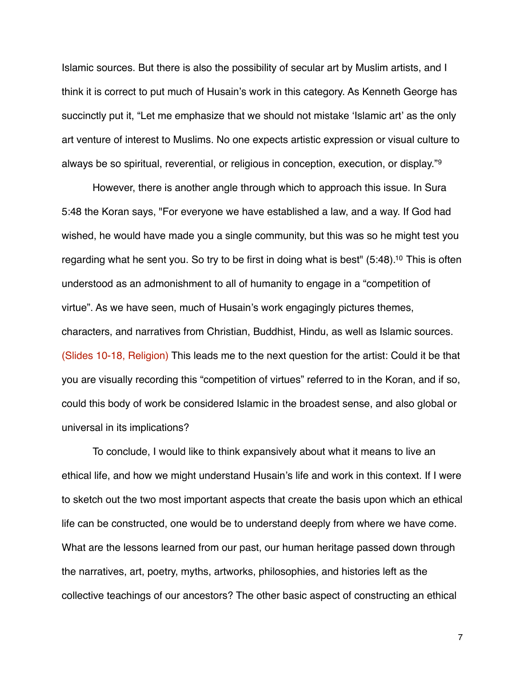Islamic sources. But there is also the possibility of secular art by Muslim artists, and I think it is correct to put much of Husain's work in this category. As Kenneth George has succinctly put it, "Let me emphasize that we should not mistake 'Islamic art' as the only art venture of interest to Muslims. No one expects artistic expression or visual culture to always be so spiritual, reverential, or religious in conception, execution, or display."[9](#page-8-8)

However, there is another angle through which to approach this issue. In Sura 5:48 the Koran says, "For everyone we have established a law, and a way. If God had wished, he would have made you a single community, but this was so he might test you regarding what he sent you. So try to be first in doing what is best" (5:48)[.10](#page-8-9) This is often understood as an admonishment to all of humanity to engage in a "competition of virtue". As we have seen, much of Husain's work engagingly pictures themes, characters, and narratives from Christian, Buddhist, Hindu, as well as Islamic sources. (Slides 10-18, Religion) This leads me to the next question for the artist: Could it be that you are visually recording this "competition of virtues" referred to in the Koran, and if so, could this body of work be considered Islamic in the broadest sense, and also global or universal in its implications?

To conclude, I would like to think expansively about what it means to live an ethical life, and how we might understand Husain's life and work in this context. If I were to sketch out the two most important aspects that create the basis upon which an ethical life can be constructed, one would be to understand deeply from where we have come. What are the lessons learned from our past, our human heritage passed down through the narratives, art, poetry, myths, artworks, philosophies, and histories left as the collective teachings of our ancestors? The other basic aspect of constructing an ethical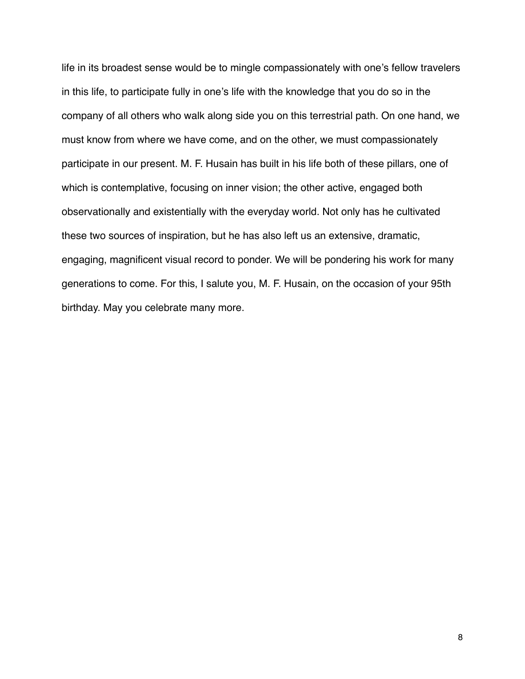life in its broadest sense would be to mingle compassionately with one's fellow travelers in this life, to participate fully in one's life with the knowledge that you do so in the company of all others who walk along side you on this terrestrial path. On one hand, we must know from where we have come, and on the other, we must compassionately participate in our present. M. F. Husain has built in his life both of these pillars, one of which is contemplative, focusing on inner vision; the other active, engaged both observationally and existentially with the everyday world. Not only has he cultivated these two sources of inspiration, but he has also left us an extensive, dramatic, engaging, magnificent visual record to ponder. We will be pondering his work for many generations to come. For this, I salute you, M. F. Husain, on the occasion of your 95th birthday. May you celebrate many more.